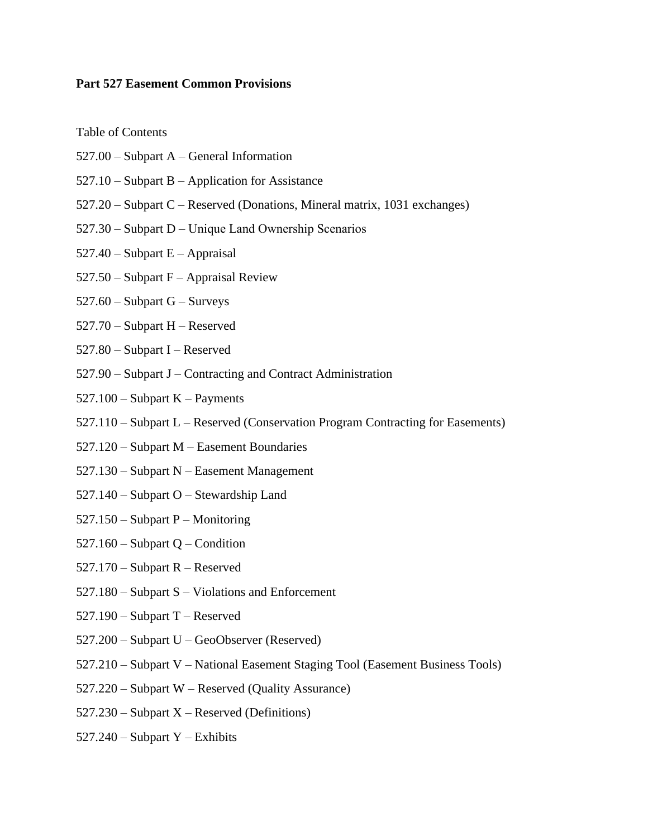#### **Part 527 Easement Common Provisions**

Table of Contents

- 527.00 Subpart A General Information
- 527.10 Subpart B Application for Assistance
- 527.20 Subpart C Reserved (Donations, Mineral matrix, 1031 exchanges)
- 527.30 Subpart D Unique Land Ownership Scenarios
- 527.40 Subpart E Appraisal
- $527.50 -$ Subpart F Appraisal Review
- 527.60 Subpart G Surveys
- 527.70 Subpart H Reserved
- 527.80 Subpart I Reserved
- 527.90 Subpart J Contracting and Contract Administration
- $527.100 -$ Subpart K Payments
- 527.110 Subpart L Reserved (Conservation Program Contracting for Easements)
- 527.120 Subpart M Easement Boundaries
- 527.130 Subpart N Easement Management
- 527.140 Subpart O Stewardship Land
- 527.150 Subpart P Monitoring
- 527.160 Subpart Q Condition
- 527.170 Subpart R Reserved
- 527.180 Subpart S Violations and Enforcement
- 527.190 Subpart T Reserved
- 527.200 Subpart U GeoObserver (Reserved)
- 527.210 Subpart V National Easement Staging Tool (Easement Business Tools)
- 527.220 Subpart W Reserved (Quality Assurance)
- $527.230 -$ Subpart X Reserved (Definitions)
- $527.240$  Subpart Y Exhibits